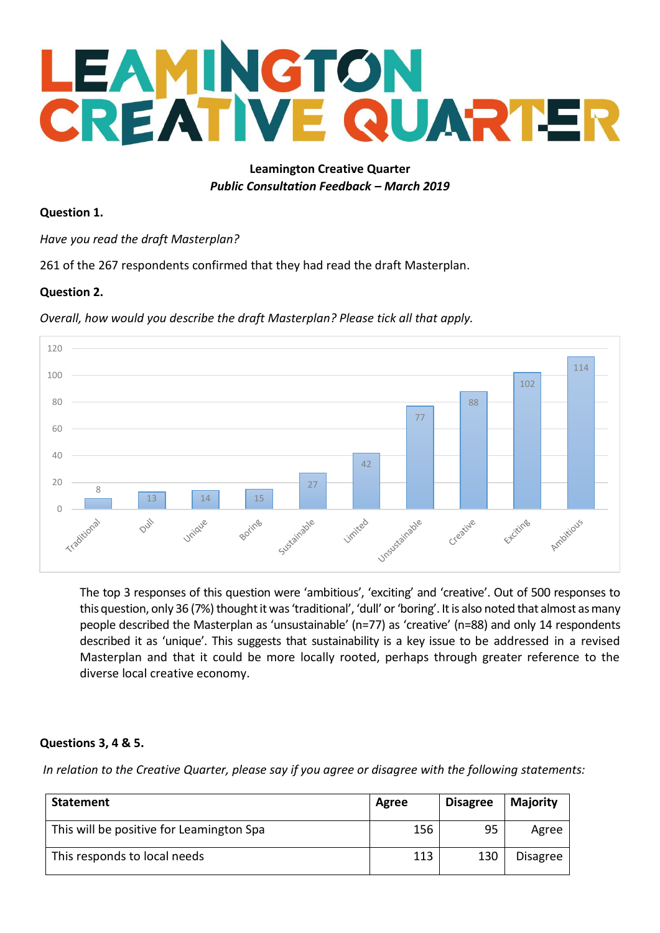### **Leamington Creative Quarter** *Public Consultation Feedback – March 2019*

### **Question 1.**

*Have you read the draft Masterplan?* 

261 of the 267 respondents confirmed that they had read the draft Masterplan.

### **Question 2.**

*Overall, how would you describe the draft Masterplan? Please tick all that apply.*



The top 3 responses of this question were 'ambitious', 'exciting' and 'creative'. Out of 500 responses to this question, only 36 (7%) thought it was 'traditional', 'dull' or 'boring'. It is also noted that almost as many people described the Masterplan as 'unsustainable' (n=77) as 'creative' (n=88) and only 14 respondents described it as 'unique'. This suggests that sustainability is a key issue to be addressed in a revised Masterplan and that it could be more locally rooted, perhaps through greater reference to the diverse local creative economy.

### **Questions 3, 4 & 5.**

*In relation to the Creative Quarter, please say if you agree or disagree with the following statements:* 

| Statement                                | Agree | <b>Disagree</b> | <b>Majority</b> |
|------------------------------------------|-------|-----------------|-----------------|
| This will be positive for Leamington Spa | 156   | 95              | Agree           |
| This responds to local needs             | 113   | 130             | <b>Disagree</b> |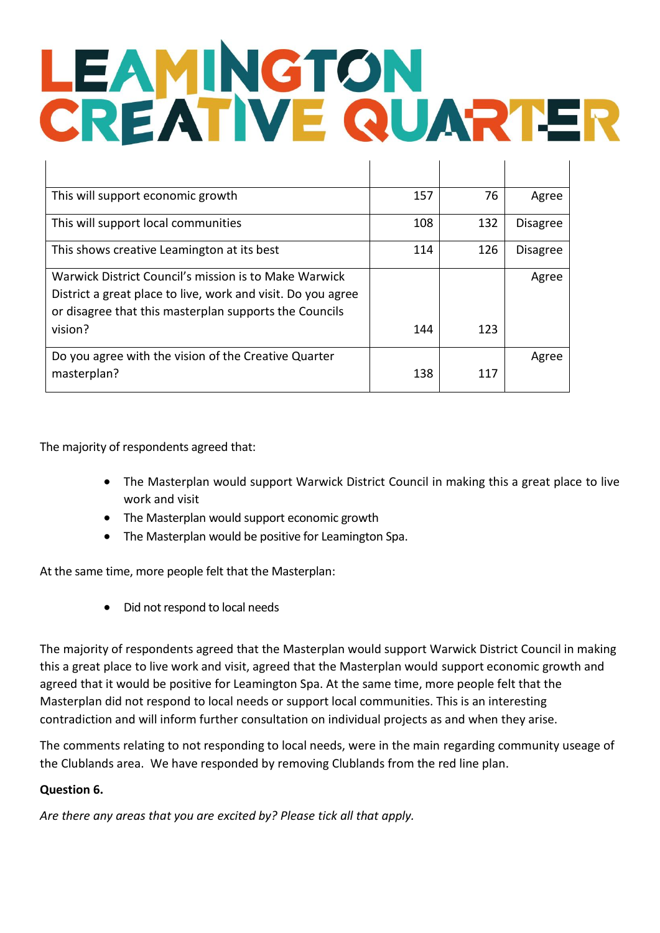| This will support economic growth                                                                                                                                               | 157 | 76  | Agree           |
|---------------------------------------------------------------------------------------------------------------------------------------------------------------------------------|-----|-----|-----------------|
| This will support local communities                                                                                                                                             | 108 | 132 | <b>Disagree</b> |
| This shows creative Leamington at its best                                                                                                                                      | 114 | 126 | <b>Disagree</b> |
| Warwick District Council's mission is to Make Warwick<br>District a great place to live, work and visit. Do you agree<br>or disagree that this masterplan supports the Councils |     |     | Agree           |
| vision?                                                                                                                                                                         | 144 | 123 |                 |
| Do you agree with the vision of the Creative Quarter<br>masterplan?                                                                                                             | 138 | 117 | Agree           |

The majority of respondents agreed that:

- The Masterplan would support Warwick District Council in making this a great place to live work and visit
- The Masterplan would support economic growth
- The Masterplan would be positive for Leamington Spa.

At the same time, more people felt that the Masterplan:

• Did not respond to local needs

The majority of respondents agreed that the Masterplan would support Warwick District Council in making this a great place to live work and visit, agreed that the Masterplan would support economic growth and agreed that it would be positive for Leamington Spa. At the same time, more people felt that the Masterplan did not respond to local needs or support local communities. This is an interesting contradiction and will inform further consultation on individual projects as and when they arise.

The comments relating to not responding to local needs, were in the main regarding community useage of the Clublands area. We have responded by removing Clublands from the red line plan.

### **Question 6.**

*Are there any areas that you are excited by? Please tick all that apply.*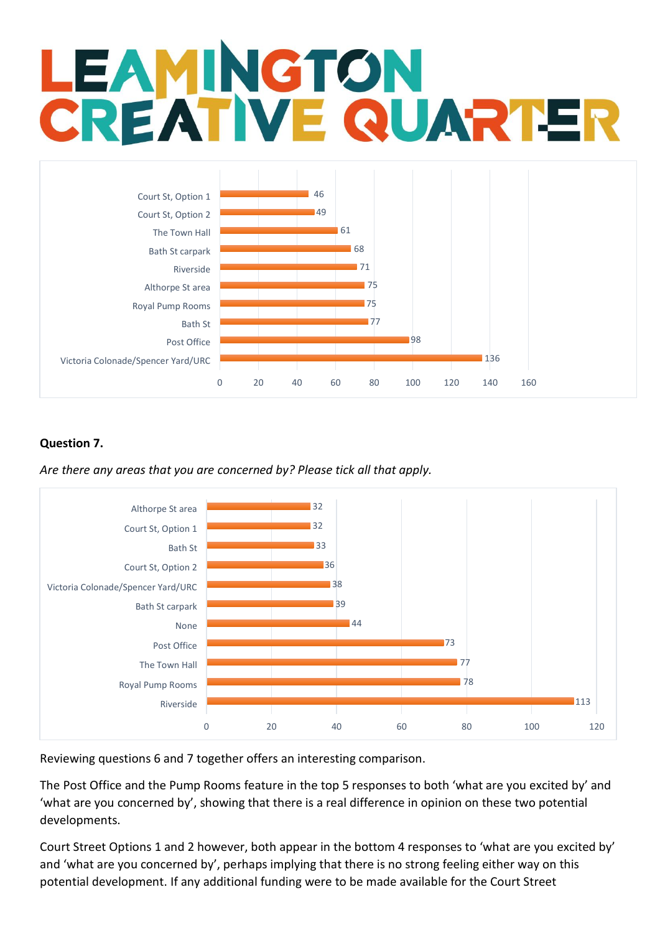

### **Question 7.**

*Are there any areas that you are concerned by? Please tick all that apply.* 



Reviewing questions 6 and 7 together offers an interesting comparison.

The Post Office and the Pump Rooms feature in the top 5 responses to both 'what are you excited by' and 'what are you concerned by', showing that there is a real difference in opinion on these two potential developments.

Court Street Options 1 and 2 however, both appear in the bottom 4 responses to 'what are you excited by' and 'what are you concerned by', perhaps implying that there is no strong feeling either way on this potential development. If any additional funding were to be made available for the Court Street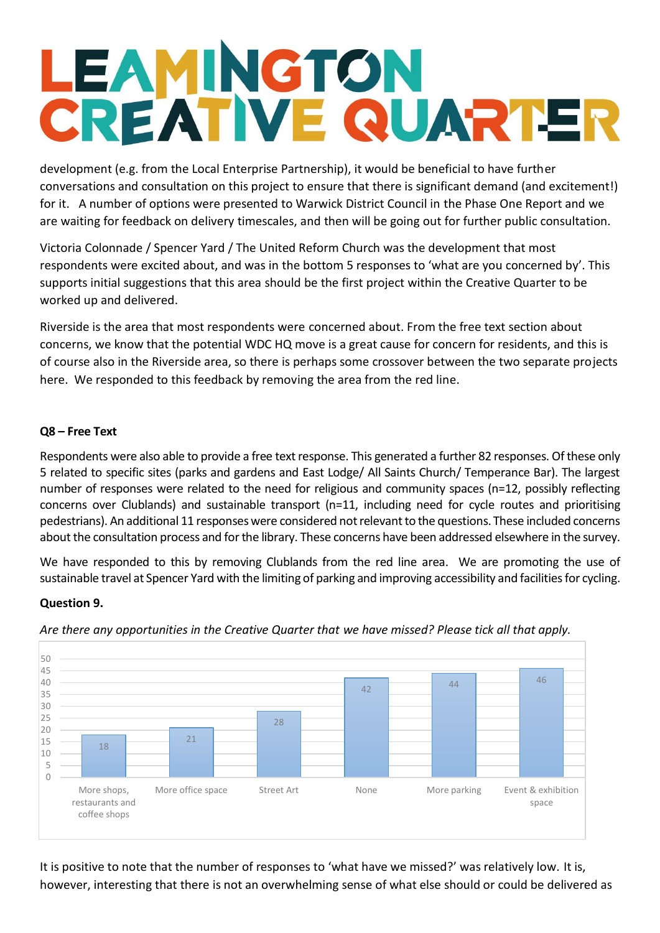development (e.g. from the Local Enterprise Partnership), it would be beneficial to have further conversations and consultation on this project to ensure that there is significant demand (and excitement!) for it. A number of options were presented to Warwick District Council in the Phase One Report and we are waiting for feedback on delivery timescales, and then will be going out for further public consultation.

Victoria Colonnade / Spencer Yard / The United Reform Church was the development that most respondents were excited about, and was in the bottom 5 responses to 'what are you concerned by'. This supports initial suggestions that this area should be the first project within the Creative Quarter to be worked up and delivered.

Riverside is the area that most respondents were concerned about. From the free text section about concerns, we know that the potential WDC HQ move is a great cause for concern for residents, and this is of course also in the Riverside area, so there is perhaps some crossover between the two separate projects here. We responded to this feedback by removing the area from the red line.

### **Q8 – Free Text**

Respondents were also able to provide a free text response. This generated a further 82 responses. Of these only 5 related to specific sites (parks and gardens and East Lodge/ All Saints Church/ Temperance Bar). The largest number of responses were related to the need for religious and community spaces (n=12, possibly reflecting concerns over Clublands) and sustainable transport (n=11, including need for cycle routes and prioritising pedestrians). An additional 11 responses were considered not relevant to the questions. These included concerns about the consultation process and for the library. These concerns have been addressed elsewhere in the survey.

We have responded to this by removing Clublands from the red line area. We are promoting the use of sustainable travel at Spencer Yard with the limiting of parking and improving accessibility and facilities for cycling.

### **Question 9.**



*Are there any opportunities in the Creative Quarter that we have missed? Please tick all that apply.*

It is positive to note that the number of responses to 'what have we missed?' was relatively low. It is, however, interesting that there is not an overwhelming sense of what else should or could be delivered as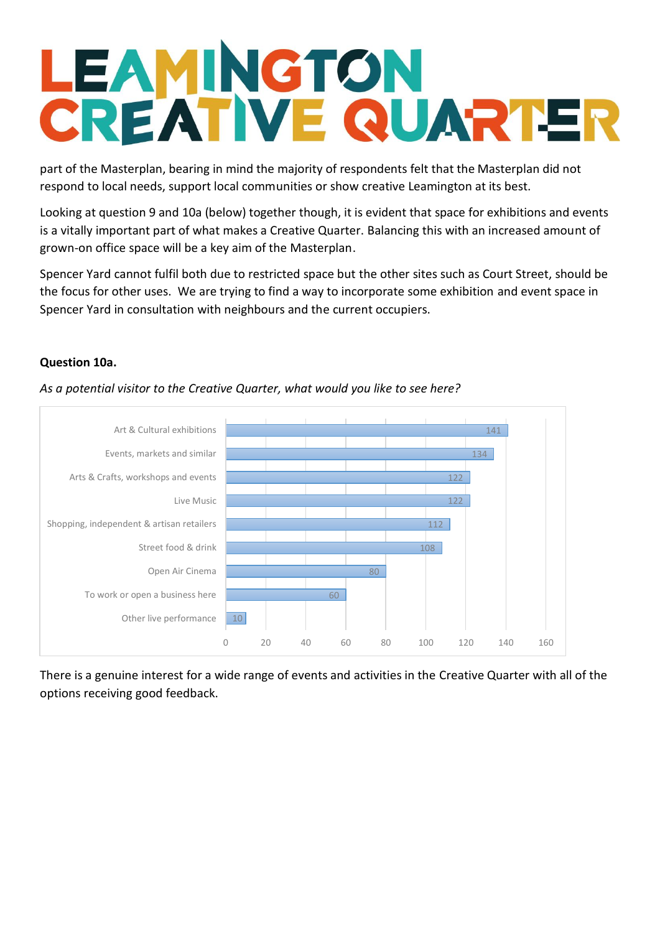part of the Masterplan, bearing in mind the majority of respondents felt that the Masterplan did not respond to local needs, support local communities or show creative Leamington at its best.

Looking at question 9 and 10a (below) together though, it is evident that space for exhibitions and events is a vitally important part of what makes a Creative Quarter. Balancing this with an increased amount of grown-on office space will be a key aim of the Masterplan.

Spencer Yard cannot fulfil both due to restricted space but the other sites such as Court Street, should be the focus for other uses. We are trying to find a way to incorporate some exhibition and event space in Spencer Yard in consultation with neighbours and the current occupiers.

### **Question 10a.**



*As a potential visitor to the Creative Quarter, what would you like to see here?*

There is a genuine interest for a wide range of events and activities in the Creative Quarter with all of the options receiving good feedback.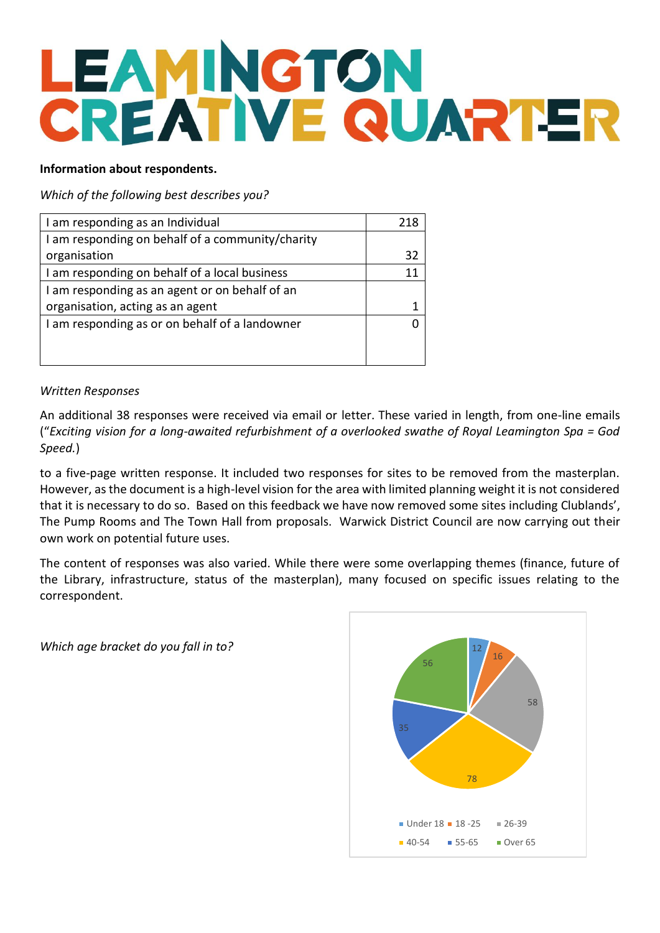### **Information about respondents.**

### *Which of the following best describes you?*

| I am responding as an Individual                 |    |
|--------------------------------------------------|----|
| I am responding on behalf of a community/charity |    |
| organisation                                     | 32 |
| I am responding on behalf of a local business    |    |
| I am responding as an agent or on behalf of an   |    |
| organisation, acting as an agent                 |    |
| I am responding as or on behalf of a landowner   |    |
|                                                  |    |
|                                                  |    |

### *Written Responses*

An additional 38 responses were received via email or letter. These varied in length, from one-line emails ("*Exciting vision for a long-awaited refurbishment of a overlooked swathe of Royal Leamington Spa = God Speed.*)

to a five-page written response. It included two responses for sites to be removed from the masterplan. However, as the document is a high-level vision for the area with limited planning weight it is not considered that it is necessary to do so. Based on this feedback we have now removed some sites including Clublands', The Pump Rooms and The Town Hall from proposals. Warwick District Council are now carrying out their own work on potential future uses.

The content of responses was also varied. While there were some overlapping themes (finance, future of the Library, infrastructure, status of the masterplan), many focused on specific issues relating to the correspondent.

*Which age bracket do you fall in to?*